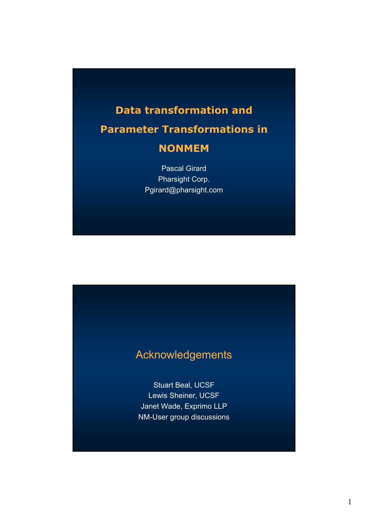#### **Data transformation and**

## **Parameter Transformations in NONMEM**

Pascal Girard Pharsight Corp. Pgirard@pharsight.com

### Acknowledgements

Stuart Beal, UCSF Lewis Sheiner, UCSF Janet Wade, Exprimo LLP NM-User group discussions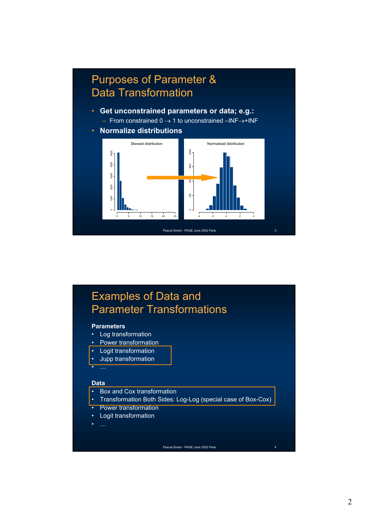## Purposes of Parameter & Data Transformation

- **Get unconstrained parameters or data; e.g.:**  – From constrained  $0 \rightarrow 1$  to unconstrained –INF→+INF
- **Normalize distributions**



### Examples of Data and Parameter Transformations

#### **Parameters**

- Log transformation
- Power transformation
- Logit transformation
- Jupp transformation
- …

#### **Data**

- Box and Cox transformation
- Transformation Both Sides: Log-Log (special case of Box-Cox)
- Power transformation
- Logit transformation
-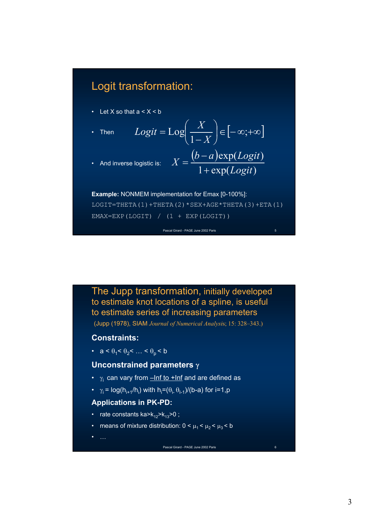#### Logit transformation:

- Let X so that  $a < X < b$
- Then

$$
Logit = Log\left(\frac{X}{1-X}\right) \in [-\infty, +\infty]
$$
  
logistic is: 
$$
X = \frac{(b-a)exp(Logit)}{(1-x)(1-x)}
$$

• And inverse logistic is:

$$
1 + \exp(Logit)
$$

**Example:** NONMEM implementation for Emax [0-100%]: LOGIT=THETA(1)+THETA(2)\*SEX+AGE\*THETA(3)+ETA(1)

EMAX=EXP(LOGIT) / (1 + EXP(LOGIT))

Pascal Girard - PAGE June 2002 Paris 5

The Jupp transformation, initially developed to estimate knot locations of a spline, is useful to estimate series of increasing parameters

(Jupp (1978), SIAM *Journal of Numerical Analysi*s; 15: 328–343.)

#### **Constraints:**

•  $a < \theta_1 < \theta_2 < ... < \theta_n < b$ 

#### **Unconstrained parameters** γ

- $\gamma_i$  can vary from  $-\ln f$  to  $+\ln f$  and are defined as
- $\gamma_i = \log(h_{i+1}/h_i)$  with  $h_i = (\theta_{i-1}\theta_{i-1})/(b-a)$  for  $i=1, p$

#### **Applications in PK-PD:**

- rate constants ka> $k_{12}$ > $k_{13}$ >0;
- means of mixture distribution:  $0 < \mu_1 < \mu_2 < \mu_3 < b$

• …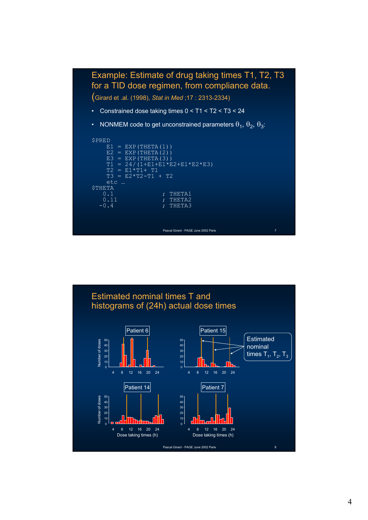

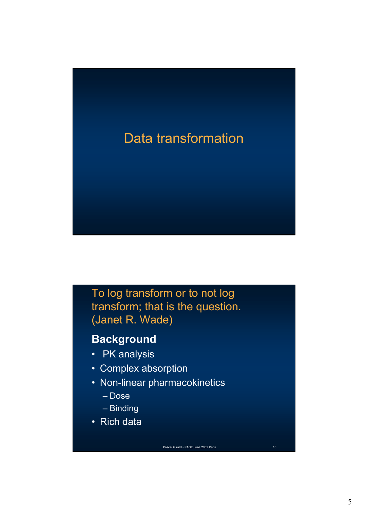# Data transformation

To log transform or to not log transform; that is the question. (Janet R. Wade)

## **Background**

- PK analysis
- Complex absorption
- Non-linear pharmacokinetics
	- Dose
	- Binding
- Rich data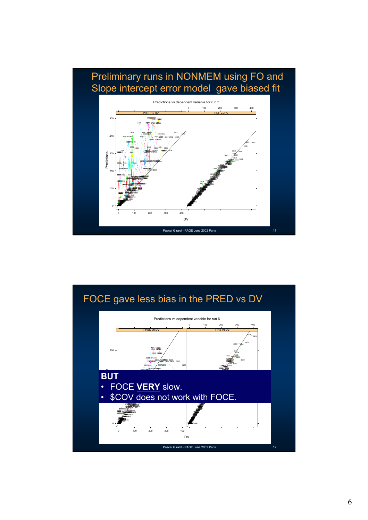

#### FOCE gave less bias in the PRED vs DV

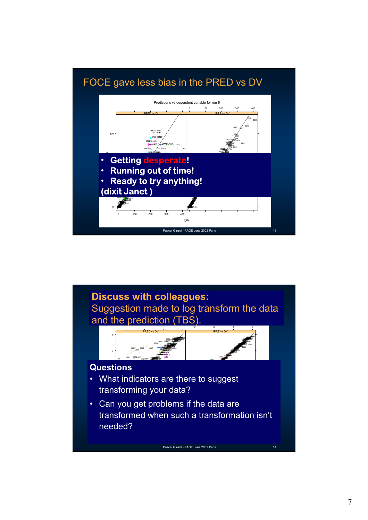

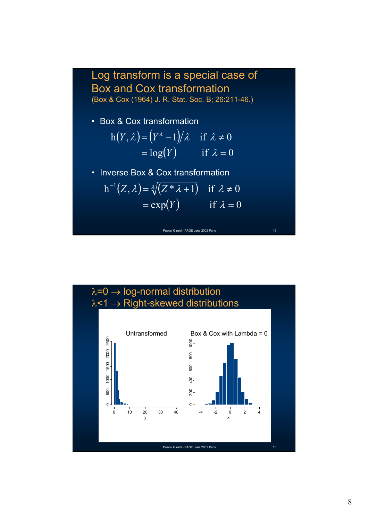# Log transform is a special case of Box and Cox transformation (Box & Cox (1964) J. R. Stat. Soc. B; 26:211-46.) • Box & Cox transformation • Inverse Box & Cox transformation  $h(Y, \lambda) = (Y^{\lambda} - 1)/\lambda$  if  $\lambda \neq 0$  $=\log(Y)$  if  $\lambda = 0$

 $h^{-1}(Z, \lambda) = \sqrt[\lambda]{(Z * \lambda + 1)}$  if  $\lambda \neq 0$  $=\exp(Y)$  if  $\lambda = 0$ 



 $\lambda$ =0  $\rightarrow$  log-normal distribution  $\lambda$ <1  $\rightarrow$  Right-skewed distributions Untransformed Box  $&$  Cox with Lambda = 0 2500 0 500 1000 1500 2000 2500  $1000$ 0 200 400 600 800 1000 1000 1500 2000 800 600 400 500  $200$ 0 10 20 30 40 -4 -2 0 2 4 y x Pascal Girard - PAGE June 2002 Paris 16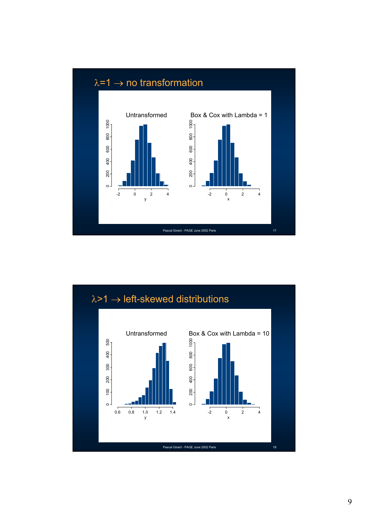

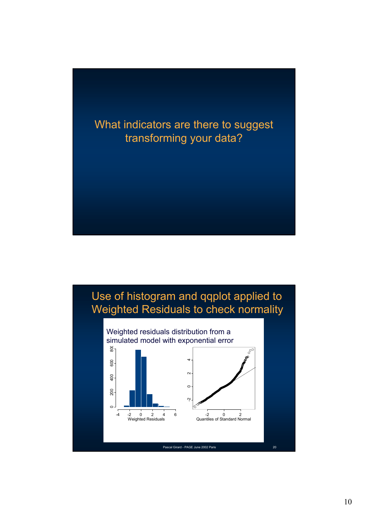## What indicators are there to suggest transforming your data?

## Use of histogram and qqplot applied to Weighted Residuals to check normality

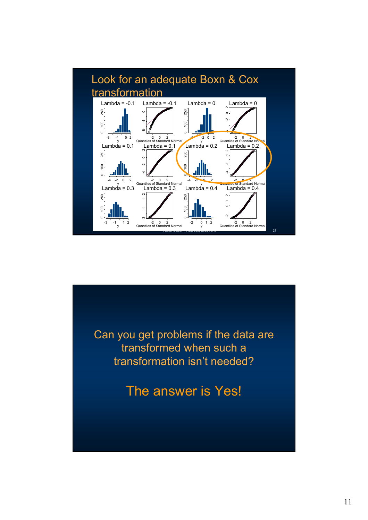

Can you get problems if the data are transformed when such a transformation isn't needed?

The answer is Yes!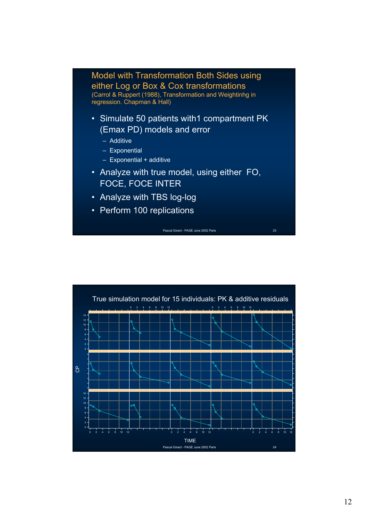

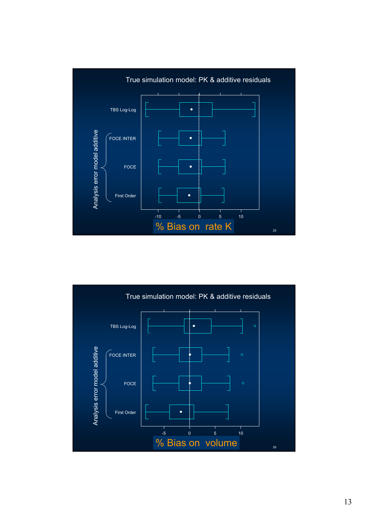

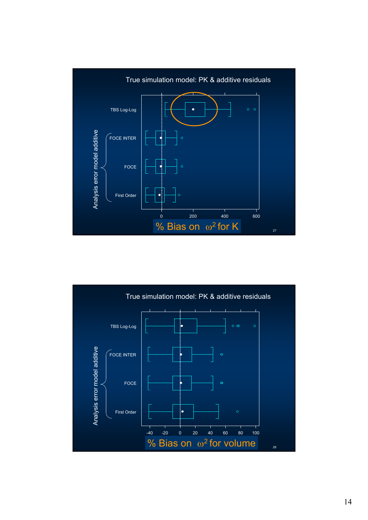

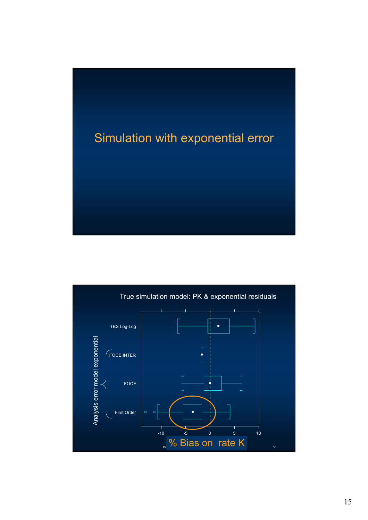# Simulation with exponential error

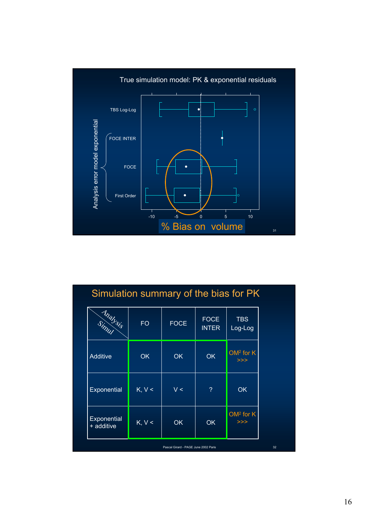

## Simulation summary of the bias for PK

| <b>Analysis</b>           | <b>FO</b>              | <b>FOCE</b> | <b>FOCE</b><br><b>INTER</b> | <b>TBS</b><br>Log-Log |
|---------------------------|------------------------|-------------|-----------------------------|-----------------------|
| Additive                  | <b>OK</b>              | OK          | <b>OK</b>                   | $OM2$ for $K$<br>>>   |
| Exponential               | $K, V \leq$            | V <         | ?                           | OK                    |
| Exponential<br>+ additive | $\overline{K}$ , $V <$ | OK          | <b>OK</b>                   | $OM2$ for K<br>>>     |

Pascal Girard - PAGE June 2002 Paris 32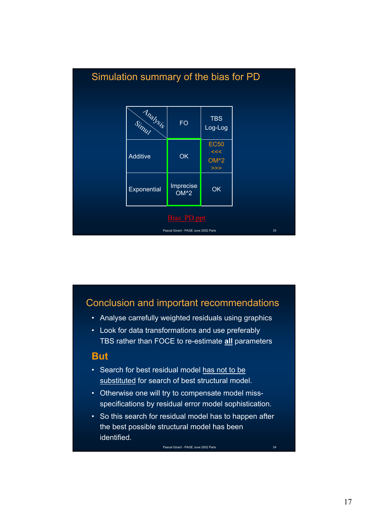

#### Conclusion and important recommendations

- Analyse carrefully weighted residuals using graphics
- Look for data transformations and use preferably TBS rather than FOCE to re-estimate **all** parameters

#### **But**

- Search for best residual model has not to be substituted for search of best structural model.
- Otherwise one will try to compensate model missspecifications by residual error model sophistication.
- So this search for residual model has to happen after the best possible structural model has been **identified**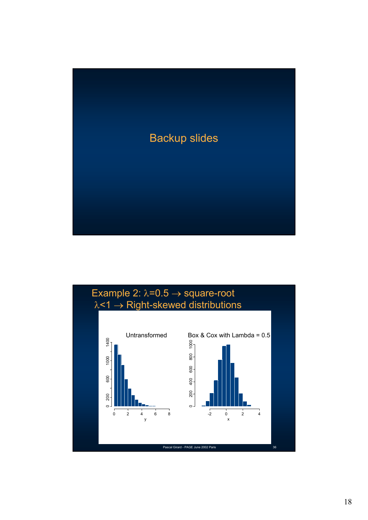

#### Example 2:  $\lambda=0.5 \rightarrow$  square-root λ<1 → Right-skewed distributions

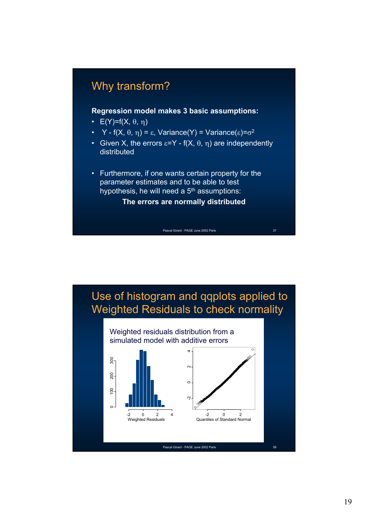## Why transform?

**Regression model makes 3 basic assumptions:**

- $E(Y)=f(X, \theta, \eta)$
- Y f(X,  $\theta$ ,  $\eta$ ) =  $\varepsilon$ , Variance(Y) = Variance( $\varepsilon$ )= $\sigma^2$
- Given X, the errors  $\varepsilon = Y f(X, \theta, \eta)$  are independently distributed
- Furthermore, if one wants certain property for the parameter estimates and to be able to test hypothesis, he will need a  $5<sup>th</sup>$  assumptions:

**The errors are normally distributed**

Pascal Girard - PAGE June 2002 Paris 37

Use of histogram and qqplots applied to Weighted Residuals to check normality

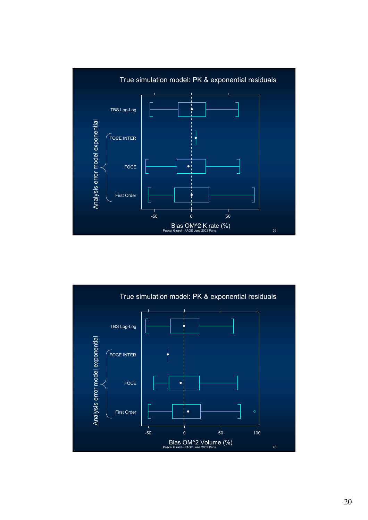

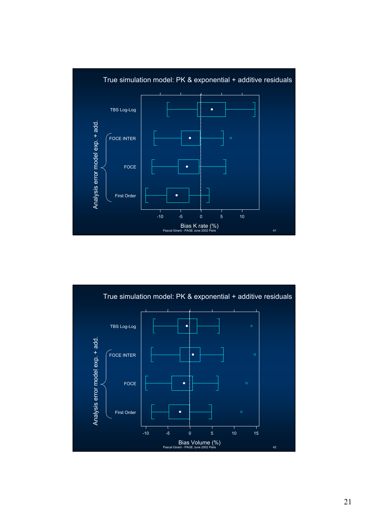